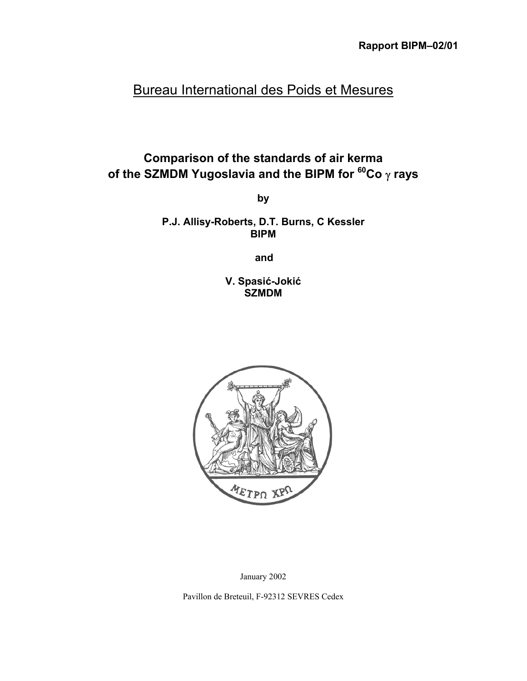# Bureau International des Poids et Mesures

# **Comparison of the standards of air kerma of the SZMDM Yugoslavia and the BIPM for 60Co** γ **rays**

**by**

**P.J. Allisy-Roberts, D.T. Burns, C Kessler BIPM**

**and**

**V. Spasić-Jokić SZMDM**



January 2002

Pavillon de Breteuil, F-92312 SEVRES Cedex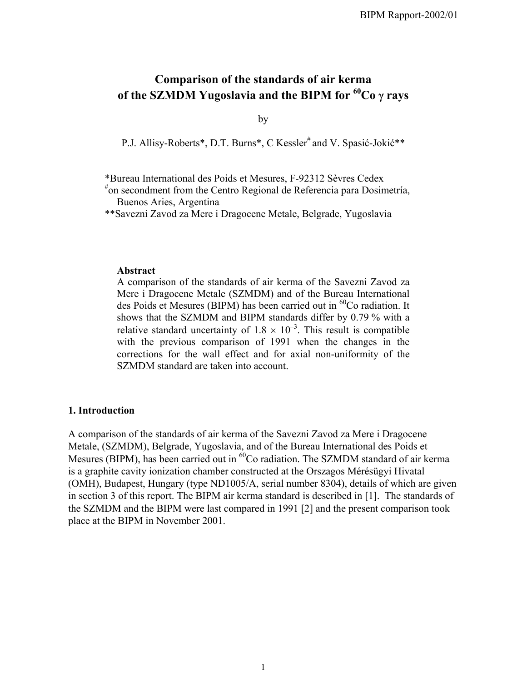# **Comparison of the standards of air kerma of the SZMDM Yugoslavia and the BIPM for 60Co** γ **rays**

by

P.J. Allisy-Roberts\*, D.T. Burns\*, C Kessler<sup>#</sup> and V. Spasić-Jokić\*\*

\*Bureau International des Poids et Mesures, F-92312 Sèvres Cedex

# on secondment from the Centro Regional de Referencia para Dosimetría, Buenos Aries, Argentina

\*\*Savezni Zavod za Mere i Dragocene Metale, Belgrade, Yugoslavia

#### **Abstract**

A comparison of the standards of air kerma of the Savezni Zavod za Mere i Dragocene Metale (SZMDM) and of the Bureau International des Poids et Mesures (BIPM) has been carried out in  ${}^{60}Co$  radiation. It shows that the SZMDM and BIPM standards differ by 0.79 % with a relative standard uncertainty of  $1.8 \times 10^{-3}$ . This result is compatible with the previous comparison of 1991 when the changes in the corrections for the wall effect and for axial non-uniformity of the SZMDM standard are taken into account.

#### **1. Introduction**

A comparison of the standards of air kerma of the Savezni Zavod za Mere i Dragocene Metale, (SZMDM), Belgrade, Yugoslavia, and of the Bureau International des Poids et Mesures (BIPM), has been carried out in <sup>60</sup>Co radiation. The SZMDM standard of air kerma is a graphite cavity ionization chamber constructed at the Orszagos Mérésügyi Hivatal (OMH), Budapest, Hungary (type ND1005/A, serial number 8304), details of which are given in section 3 of this report. The BIPM air kerma standard is described in [1]. The standards of the SZMDM and the BIPM were last compared in 1991 [2] and the present comparison took place at the BIPM in November 2001.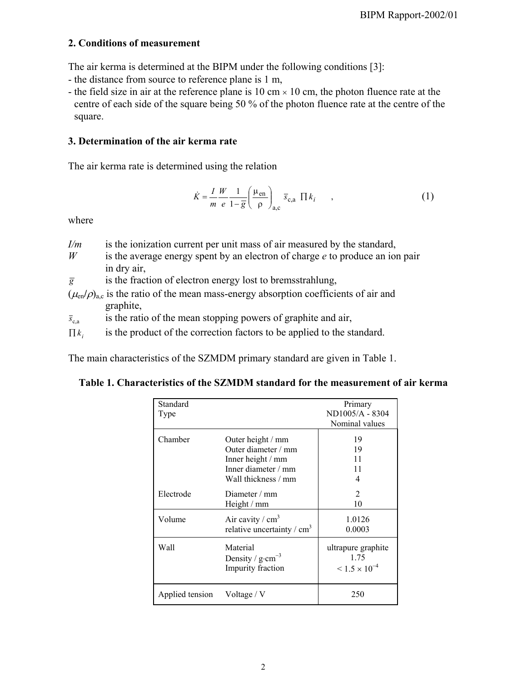### **2. Conditions of measurement**

The air kerma is determined at the BIPM under the following conditions [3]:

- the distance from source to reference plane is 1 m,
- the field size in air at the reference plane is 10 cm  $\times$  10 cm, the photon fluence rate at the centre of each side of the square being 50 % of the photon fluence rate at the centre of the square.

## **3. Determination of the air kerma rate**

The air kerma rate is determined using the relation

$$
\dot{K} = \frac{I}{m} \frac{W}{e} \frac{1}{1 - \overline{g}} \left( \frac{\mu_{\text{en}}}{\rho} \right)_{\text{a,c}} \overline{s}_{\text{c,a}} \prod k_i \tag{1}
$$

where

- *I/m* is the ionization current per unit mass of air measured by the standard,
- *W* is the average energy spent by an electron of charge *e* to produce an ion pair in dry air,
- $\overline{g}$  is the fraction of electron energy lost to bremsstrahlung,
- $(\mu_{en}/\rho)_{ac}$  is the ratio of the mean mass-energy absorption coefficients of air and graphite,
- $\bar{s}_{c,a}$  is the ratio of the mean stopping powers of graphite and air,
- $\prod k_i$  is the product of the correction factors to be applied to the standard.

The main characteristics of the SZMDM primary standard are given in Table 1.

|  | Table 1. Characteristics of the SZMDM standard for the measurement of air kerma |
|--|---------------------------------------------------------------------------------|
|--|---------------------------------------------------------------------------------|

| Standard<br>Type |                                                                                                             | Primary<br>ND1005/A - 8304<br>Nominal values            |
|------------------|-------------------------------------------------------------------------------------------------------------|---------------------------------------------------------|
| Chamber          | Outer height / mm<br>Outer diameter / mm<br>Inner height / mm<br>Inner diameter / mm<br>Wall thickness / mm | 19<br>19<br>11<br>11<br>4                               |
| Electrode        | Diameter $/mm$<br>Height / mm                                                                               | 2<br>10                                                 |
| Volume           | Air cavity / $cm3$<br>relative uncertainty / $cm3$                                                          | 1.0126<br>0.0003                                        |
| Wall             | Material<br>Density / $g \cdot cm^{-3}$<br>Impurity fraction                                                | ultrapure graphite<br>1.75<br>$\leq 1.5 \times 10^{-4}$ |
| Applied tension  | Voltage / $V$                                                                                               | 250                                                     |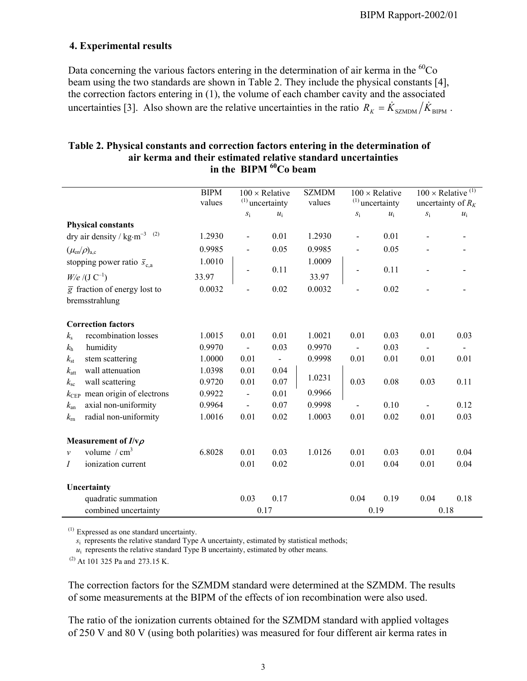#### **4. Experimental results**

Data concerning the various factors entering in the determination of air kerma in the  ${}^{60}Co$ beam using the two standards are shown in Table 2. They include the physical constants [4], the correction factors entering in (1), the volume of each chamber cavity and the associated uncertainties [3]. Also shown are the relative uncertainties in the ratio  $R_K = \dot{K}_{\text{SZMDM}} / \dot{K}_{\text{BIPM}}$ .

#### **Table 2. Physical constants and correction factors entering in the determination of air kerma and their estimated relative standard uncertainties** in the BIPM <sup>60</sup>Co beam

|                  |                                                     | <b>BIPM</b><br>values | $100 \times$ Relative<br>$(1)$ uncertainty |                | <b>SZMDM</b><br>values | $100 \times$ Relative<br>$(1)$ uncertainty |       | $100 \times$ Relative <sup>(1)</sup><br>uncertainty of $R_K$ |       |
|------------------|-----------------------------------------------------|-----------------------|--------------------------------------------|----------------|------------------------|--------------------------------------------|-------|--------------------------------------------------------------|-------|
|                  |                                                     |                       | $S_{1}$                                    | $u_i$          |                        | $S_1$                                      | $u_i$ | $S_1$                                                        | $u_i$ |
|                  | <b>Physical constants</b>                           |                       |                                            |                |                        |                                            |       |                                                              |       |
|                  | dry air density / $\text{kg}\cdot\text{m}^{-3}$ (2) | 1.2930                | $\blacksquare$                             | 0.01           | 1.2930                 | $\frac{1}{2}$                              | 0.01  | $\overline{a}$                                               |       |
|                  | $(\mu_{en}/\rho)_{a,c}$                             | 0.9985                |                                            | 0.05           | 0.9985                 |                                            | 0.05  |                                                              |       |
|                  | stopping power ratio $\bar{s}_{c,a}$                | 1.0010                |                                            |                | 1.0009                 |                                            |       |                                                              |       |
|                  | $W/e / (J C^{-1})$                                  | 33.97                 |                                            | 0.11           | 33.97                  |                                            | 0.11  |                                                              |       |
|                  | $\overline{g}$ fraction of energy lost to           | 0.0032                |                                            | 0.02           | 0.0032                 |                                            | 0.02  |                                                              |       |
|                  | bremsstrahlung                                      |                       |                                            |                |                        |                                            |       |                                                              |       |
|                  |                                                     |                       |                                            |                |                        |                                            |       |                                                              |       |
|                  | <b>Correction factors</b>                           |                       |                                            |                |                        |                                            |       |                                                              |       |
| $k_{\rm s}$      | recombination losses                                | 1.0015                | 0.01                                       | 0.01           | 1.0021                 | 0.01                                       | 0.03  | 0.01                                                         | 0.03  |
| $k_{\rm h}$      | humidity                                            | 0.9970                |                                            | 0.03           | 0.9970                 |                                            | 0.03  |                                                              |       |
| $k_{\rm st}$     | stem scattering                                     | 1.0000                | 0.01                                       | $\blacksquare$ | 0.9998                 | 0.01                                       | 0.01  | 0.01                                                         | 0.01  |
| $k_{\text{att}}$ | wall attenuation                                    | 1.0398                | 0.01                                       | 0.04           |                        |                                            |       |                                                              |       |
| $k_{\rm sc}$     | wall scattering                                     | 0.9720                | 0.01                                       | 0.07           | 1.0231                 | 0.03                                       | 0.08  | 0.03                                                         | 0.11  |
| $k_{\rm CEP}$    | mean origin of electrons                            | 0.9922                | $\blacksquare$                             | 0.01           | 0.9966                 |                                            |       |                                                              |       |
| $k_{\rm an}$     | axial non-uniformity                                | 0.9964                | $\overline{\phantom{a}}$                   | 0.07           | 0.9998                 |                                            | 0.10  |                                                              | 0.12  |
| $k_{\rm m}$      | radial non-uniformity                               | 1.0016                | 0.01                                       | 0.02           | 1.0003                 | 0.01                                       | 0.02  | 0.01                                                         | 0.03  |
|                  | Measurement of $I/v\rho$                            |                       |                                            |                |                        |                                            |       |                                                              |       |
| $\mathcal{V}$    | volume $/cm3$                                       | 6.8028                | 0.01                                       | 0.03           | 1.0126                 | 0.01                                       | 0.03  | 0.01                                                         | 0.04  |
| Ι                | ionization current                                  |                       | 0.01                                       | 0.02           |                        | 0.01                                       | 0.04  | 0.01                                                         | 0.04  |
|                  | Uncertainty                                         |                       |                                            |                |                        |                                            |       |                                                              |       |
|                  | quadratic summation                                 |                       | 0.03                                       | 0.17           |                        | 0.04                                       | 0.19  | 0.04                                                         | 0.18  |
|                  | combined uncertainty                                |                       | 0.17                                       |                |                        | 0.19                                       |       |                                                              | 0.18  |

(1) Expressed as one standard uncertainty.

 *s*i represents the relative standard Type A uncertainty, estimated by statistical methods;

 $u_i$  represents the relative standard Type B uncertainty, estimated by other means.

 $(2)$  At 101 325 Pa and 273.15 K.

The correction factors for the SZMDM standard were determined at the SZMDM. The results of some measurements at the BIPM of the effects of ion recombination were also used.

The ratio of the ionization currents obtained for the SZMDM standard with applied voltages of 250 V and 80 V (using both polarities) was measured for four different air kerma rates in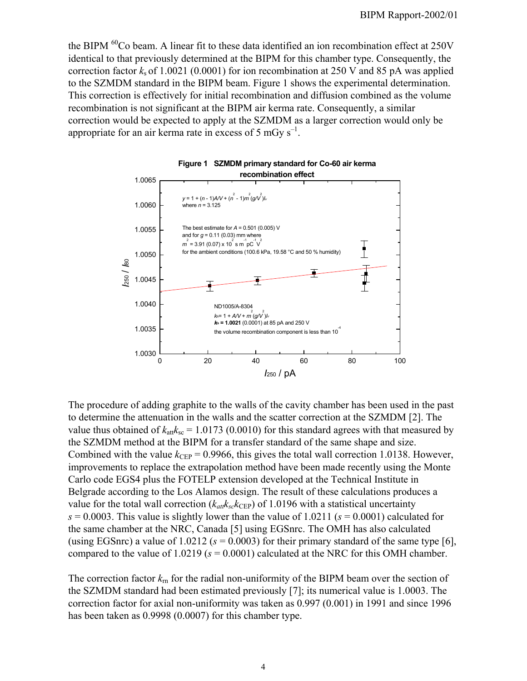the BIPM <sup>60</sup>Co beam. A linear fit to these data identified an ion recombination effect at 250V identical to that previously determined at the BIPM for this chamber type. Consequently, the correction factor  $k<sub>s</sub>$  of 1.0021 (0.0001) for ion recombination at 250 V and 85 pA was applied to the SZMDM standard in the BIPM beam. Figure 1 shows the experimental determination. This correction is effectively for initial recombination and diffusion combined as the volume recombination is not significant at the BIPM air kerma rate. Consequently, a similar correction would be expected to apply at the SZMDM as a larger correction would only be appropriate for an air kerma rate in excess of 5 mGy  $s^{-1}$ .



The procedure of adding graphite to the walls of the cavity chamber has been used in the past to determine the attenuation in the walls and the scatter correction at the SZMDM [2]. The value thus obtained of  $k_{\text{att}}k_{\text{sc}} = 1.0173$  (0.0010) for this standard agrees with that measured by the SZMDM method at the BIPM for a transfer standard of the same shape and size. Combined with the value  $k_{\text{CEP}} = 0.9966$ , this gives the total wall correction 1.0138. However, improvements to replace the extrapolation method have been made recently using the Monte Carlo code EGS4 plus the FOTELP extension developed at the Technical Institute in Belgrade according to the Los Alamos design. The result of these calculations produces a value for the total wall correction  $(k_{att}k_{sc}k_{CEP})$  of 1.0196 with a statistical uncertainty  $s = 0.0003$ . This value is slightly lower than the value of 1.0211 ( $s = 0.0001$ ) calculated for the same chamber at the NRC, Canada [5] using EGSnrc. The OMH has also calculated (using EGSnrc) a value of  $1.0212$  ( $s = 0.0003$ ) for their primary standard of the same type [6], compared to the value of  $1.0219$  ( $s = 0.0001$ ) calculated at the NRC for this OMH chamber.

The correction factor  $k_{\rm m}$  for the radial non-uniformity of the BIPM beam over the section of the SZMDM standard had been estimated previously [7]; its numerical value is 1.0003. The correction factor for axial non-uniformity was taken as 0.997 (0.001) in 1991 and since 1996 has been taken as 0.9998 (0.0007) for this chamber type.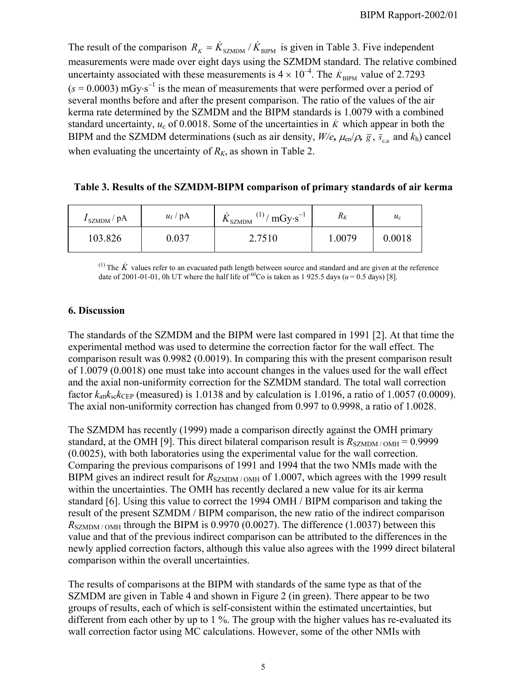The result of the comparison  $R_K = \dot{K}_{\text{SZMDM}} / \dot{K}_{\text{BIPM}}$  is given in Table 3. Five independent measurements were made over eight days using the SZMDM standard. The relative combined uncertainty associated with these measurements is  $4 \times 10^{-4}$ . The  $\dot{K}_{\text{BIPM}}$  value of 2.7293  $(s = 0.0003)$  mGy⋅s<sup>-1</sup> is the mean of measurements that were performed over a period of several months before and after the present comparison. The ratio of the values of the air kerma rate determined by the SZMDM and the BIPM standards is 1.0079 with a combined standard uncertainty,  $u_c$  of 0.0018. Some of the uncertainties in  $\dot{K}$  which appear in both the BIPM and the SZMDM determinations (such as air density,  $W/e$ ,  $\mu_{en}/\rho$ ,  $\bar{g}$ ,  $\bar{s}_{cs}$  and  $k_h$ ) cancel when evaluating the uncertainty of  $R_K$ , as shown in Table 2.

#### **Table 3. Results of the SZMDM-BIPM comparison of primary standards of air kerma**

| $I_{\rm SZMDM}$ / pA | $u_I$ / pA | $^{(1)}/$ mGy·s <sup>-1</sup><br>$\Lambda$ SZMDM | $R_K$  | $u_{\rm c}$ |
|----------------------|------------|--------------------------------------------------|--------|-------------|
| 103.826              | 0.037      | 2.7510                                           | 1.0079 | 0.0018      |

<sup>(1)</sup> The  $\dot{K}$  values refer to an evacuated path length between source and standard and are given at the reference date of 2001-01-01, 0h UT where the half life of <sup>60</sup>Co is taken as 1 925.5 days ( $u = 0.5$  days) [8].

### **6. Discussion**

The standards of the SZMDM and the BIPM were last compared in 1991 [2]. At that time the experimental method was used to determine the correction factor for the wall effect. The comparison result was 0.9982 (0.0019). In comparing this with the present comparison result of 1.0079 (0.0018) one must take into account changes in the values used for the wall effect and the axial non-uniformity correction for the SZMDM standard. The total wall correction factor  $k_{\text{att}}k_{\text{sc}}k_{\text{CEP}}$  (measured) is 1.0138 and by calculation is 1.0196, a ratio of 1.0057 (0.0009). The axial non-uniformity correction has changed from 0.997 to 0.9998, a ratio of 1.0028.

The SZMDM has recently (1999) made a comparison directly against the OMH primary standard, at the OMH [9]. This direct bilateral comparison result is  $R_{\text{SZMDM}/\text{OMH}} = 0.9999$ (0.0025), with both laboratories using the experimental value for the wall correction. Comparing the previous comparisons of 1991 and 1994 that the two NMIs made with the BIPM gives an indirect result for  $R_{\text{SZMDM}/\text{OMH}}$  of 1.0007, which agrees with the 1999 result within the uncertainties. The OMH has recently declared a new value for its air kerma standard [6]. Using this value to correct the 1994 OMH / BIPM comparison and taking the result of the present SZMDM / BIPM comparison, the new ratio of the indirect comparison  $R_{\text{SZMDM}/\text{OMH}}$  through the BIPM is 0.9970 (0.0027). The difference (1.0037) between this value and that of the previous indirect comparison can be attributed to the differences in the newly applied correction factors, although this value also agrees with the 1999 direct bilateral comparison within the overall uncertainties.

The results of comparisons at the BIPM with standards of the same type as that of the SZMDM are given in Table 4 and shown in Figure 2 (in green). There appear to be two groups of results, each of which is self-consistent within the estimated uncertainties, but different from each other by up to 1 %. The group with the higher values has re-evaluated its wall correction factor using MC calculations. However, some of the other NMIs with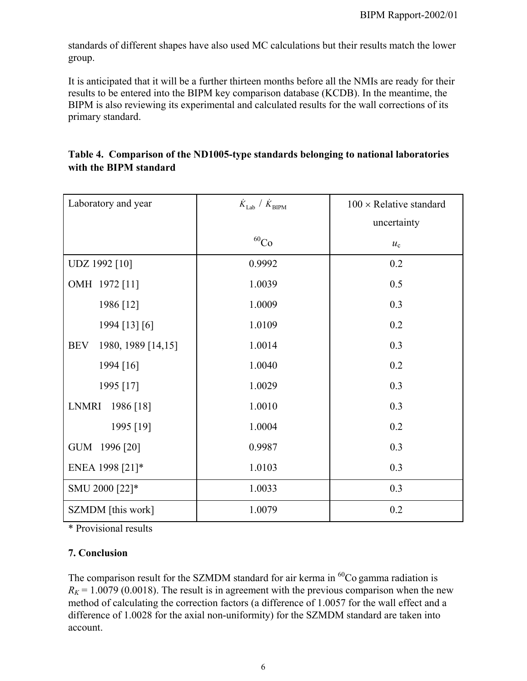standards of different shapes have also used MC calculations but their results match the lower group.

It is anticipated that it will be a further thirteen months before all the NMIs are ready for their results to be entered into the BIPM key comparison database (KCDB). In the meantime, the BIPM is also reviewing its experimental and calculated results for the wall corrections of its primary standard.

| Laboratory and year              | $\dot{K}_{\rm Lab}$ / $\dot{K}_{\rm BIPM}$ | $100 \times$ Relative standard |  |  |
|----------------------------------|--------------------------------------------|--------------------------------|--|--|
|                                  |                                            | uncertainty                    |  |  |
|                                  | $^{60}\mathrm{Co}$                         | $u_{c}$                        |  |  |
| UDZ 1992 [10]                    | 0.9992                                     | 0.2                            |  |  |
| OMH 1972 [11]                    | 1.0039                                     | 0.5                            |  |  |
| 1986 [12]                        | 1.0009                                     | 0.3                            |  |  |
| 1994 [13] [6]                    | 1.0109                                     | 0.2                            |  |  |
| <b>BEV</b><br>1980, 1989 [14,15] | 1.0014                                     | 0.3                            |  |  |
| 1994 [16]                        | 1.0040                                     | 0.2                            |  |  |
| 1995 [17]                        | 1.0029                                     | 0.3                            |  |  |
| LNMRI<br>1986 [18]               | 1.0010                                     | 0.3                            |  |  |
| 1995 [19]                        | 1.0004                                     | 0.2                            |  |  |
| GUM 1996 [20]                    | 0.9987                                     | 0.3                            |  |  |
| ENEA 1998 [21]*                  | 1.0103                                     | 0.3                            |  |  |
| SMU 2000 [22]*                   | 1.0033                                     | 0.3                            |  |  |
| SZMDM [this work]                | 1.0079                                     | 0.2                            |  |  |

## **Table 4. Comparison of the ND1005-type standards belonging to national laboratories with the BIPM standard**

\* Provisional results

## **7. Conclusion**

The comparison result for the SZMDM standard for air kerma in  ${}^{60}Co$  gamma radiation is  $R_K$  = 1.0079 (0.0018). The result is in agreement with the previous comparison when the new method of calculating the correction factors (a difference of 1.0057 for the wall effect and a difference of 1.0028 for the axial non-uniformity) for the SZMDM standard are taken into account.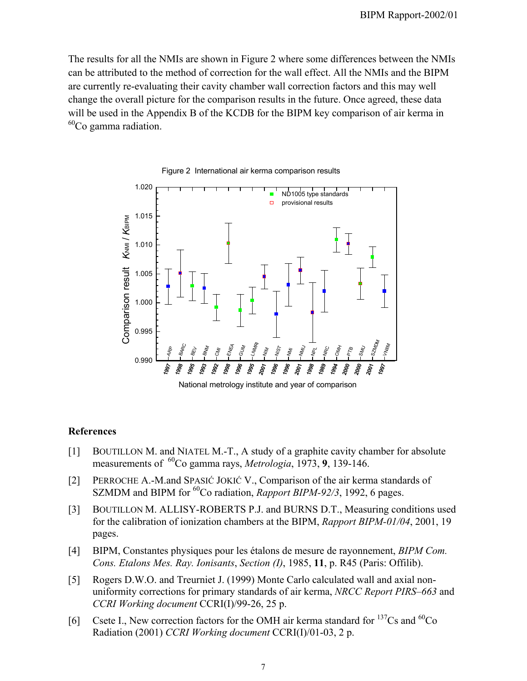The results for all the NMIs are shown in Figure 2 where some differences between the NMIs can be attributed to the method of correction for the wall effect. All the NMIs and the BIPM are currently re-evaluating their cavity chamber wall correction factors and this may well change the overall picture for the comparison results in the future. Once agreed, these data will be used in the Appendix B of the KCDB for the BIPM key comparison of air kerma in  $^{60}$ Co gamma radiation.



Figure 2 International air kerma comparison results

#### **References**

- [1] BOUTILLON M. and NIATEL M.-T., A study of a graphite cavity chamber for absolute measurements of 60Co gamma rays, *Metrologia*, 1973, **9**, 139-146.
- [2] PERROCHE A.-M.and SPASIĆ JOKIĆ V., Comparison of the air kerma standards of SZMDM and BIPM for <sup>60</sup>Co radiation, *Rapport BIPM-92/3*, 1992, 6 pages.
- [3] BOUTILLON M. ALLISY-ROBERTS P.J. and BURNS D.T., Measuring conditions used for the calibration of ionization chambers at the BIPM, *Rapport BIPM-01/04*, 2001, 19 pages.
- [4] BIPM, Constantes physiques pour les étalons de mesure de rayonnement, *BIPM Com. Cons. Etalons Mes. Ray. Ionisants*, *Section (I)*, 1985, **11**, p. R45 (Paris: Offilib).
- [5] Rogers D.W.O. and Treurniet J. (1999) Monte Carlo calculated wall and axial nonuniformity corrections for primary standards of air kerma, *NRCC Report PIRS–663* and *CCRI Working document* CCRI(I)/99-26, 25 p.
- [6] Csete I., New correction factors for the OMH air kerma standard for  $^{137}Cs$  and  $^{60}Co$ Radiation (2001) *CCRI Working document* CCRI(I)/01-03, 2 p.